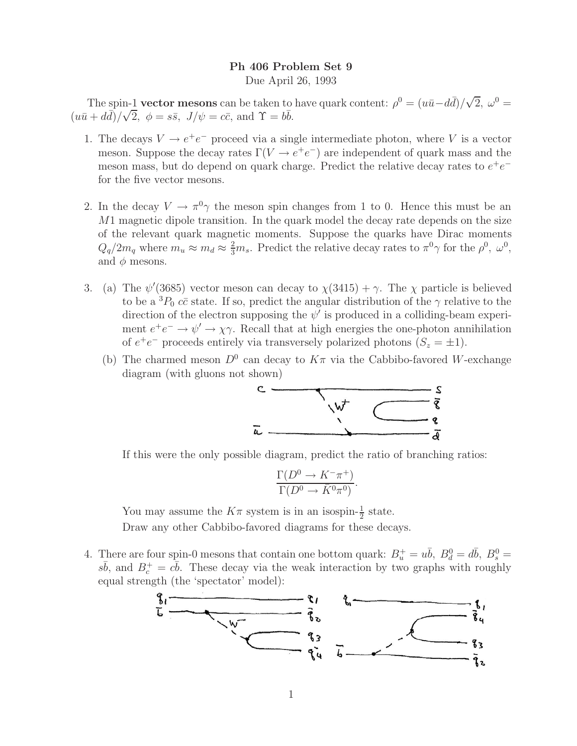## **Ph 406 Problem Set 9**

Due April 26, 1993

The spin-1 **vector mesons** can be taken to have quark content:  $\rho^0 = (u\bar{u} - d\bar{d})/\sqrt{2}$ ,  $\omega^0 =$  $(u\bar{u} + d\bar{d})/\sqrt{2}, \phi = s\bar{s}, J/\psi = c\bar{c}, \text{ and } \Upsilon = b\bar{b}.$ 

- 1. The decays  $V \to e^+e^-$  proceed via a single intermediate photon, where V is a vector meson. Suppose the decay rates  $\Gamma(V \to e^+e^-)$  are independent of quark mass and the meson mass, but do depend on quark charge. Predict the relative decay rates to  $e^+e^$ for the five vector mesons.
- 2. In the decay  $V \to \pi^0 \gamma$  the meson spin changes from 1 to 0. Hence this must be an  $M1$  magnetic dipole transition. In the quark model the decay rate depends on the size of the relevant quark magnetic moments. Suppose the quarks have Dirac moments  $Q_q/2m_q$  where  $m_u \approx m_d \approx \frac{2}{3}m_s$ . Predict the relative decay rates to  $\pi^0 \gamma$  for the  $\rho^0$ ,  $\omega^0$ , and  $\phi$  mesons.
- 3. (a) The  $\psi'(3685)$  vector meson can decay to  $\chi(3415) + \gamma$ . The  $\chi$  particle is believed to be a  ${}^{3}P_{0}$  cc state. If so, predict the angular distribution of the  $\gamma$  relative to the direction of the electron supposing the  $\psi'$  is produced in a colliding-beam experiment  $e^+e^- \to \psi' \to \chi \gamma$ . Recall that at high energies the one-photon annihilation of  $e^+e^-$  proceeds entirely via transversely polarized photons  $(S_z = \pm 1)$ .
	- (b) The charmed meson  $D^0$  can decay to  $K\pi$  via the Cabbibo-favored W-exchange diagram (with gluons not shown)



If this were the only possible diagram, predict the ratio of branching ratios:

$$
\frac{\Gamma(D^0 \to K^- \pi^+)}{\Gamma(D^0 \to \bar{K}^0 \pi^0)}.
$$

You may assume the  $K\pi$  system is in an isospin- $\frac{1}{2}$  state.

Draw any other Cabbibo-favored diagrams for these decays.

4. There are four spin-0 mesons that contain one bottom quark:  $B_u^+ = u\bar{b}$ ,  $B_d^0 = d\bar{b}$ ,  $B_s^0 =$  $s\bar{b}$ , and  $B_c^+ = c\bar{b}$ . These decay via the weak interaction by two graphs with roughly equal strength (the 'spectator' model):